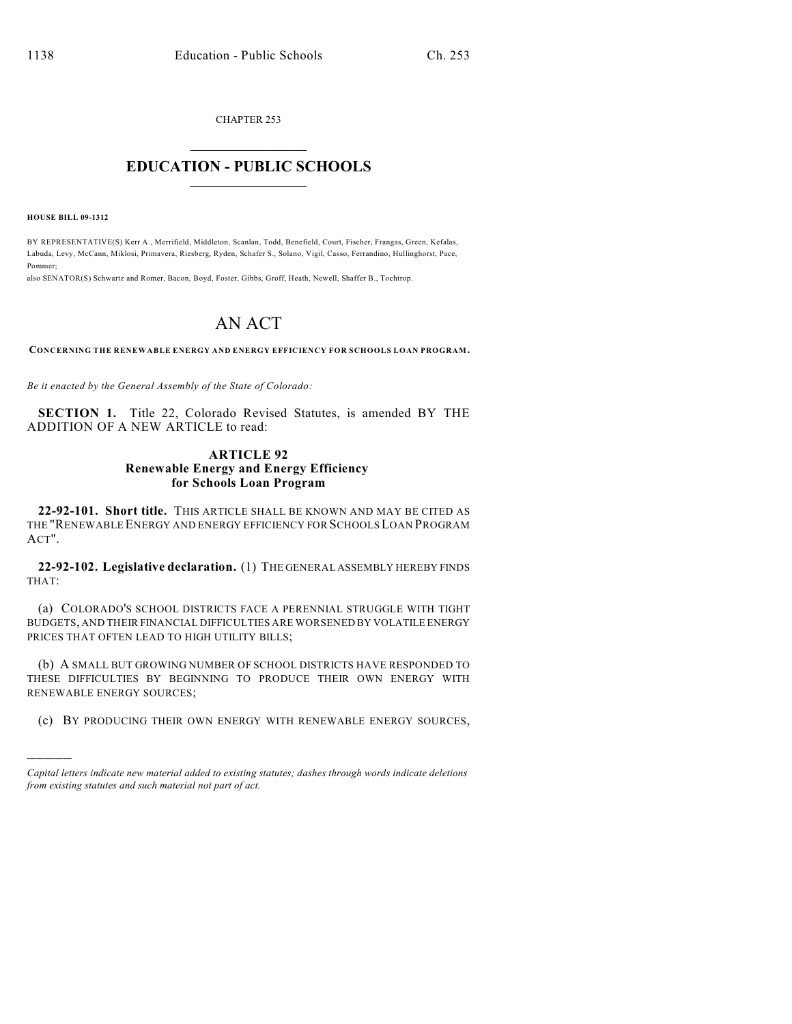CHAPTER 253  $\overline{\phantom{a}}$  . The set of the set of the set of the set of the set of the set of the set of the set of the set of the set of the set of the set of the set of the set of the set of the set of the set of the set of the set o

## **EDUCATION - PUBLIC SCHOOLS**  $\_$   $\_$   $\_$   $\_$   $\_$   $\_$   $\_$   $\_$   $\_$

**HOUSE BILL 09-1312**

)))))

BY REPRESENTATIVE(S) Kerr A., Merrifield, Middleton, Scanlan, Todd, Benefield, Court, Fischer, Frangas, Green, Kefalas, Labuda, Levy, McCann, Miklosi, Primavera, Riesberg, Ryden, Schafer S., Solano, Vigil, Casso, Ferrandino, Hullinghorst, Pace, Pommer;

also SENATOR(S) Schwartz and Romer, Bacon, Boyd, Foster, Gibbs, Groff, Heath, Newell, Shaffer B., Tochtrop.

# AN ACT

**CONCERNING THE RENEWABLE ENERGY AND ENERGY EFFICIENCY FOR SCHOOLS LOAN PROGRAM.**

*Be it enacted by the General Assembly of the State of Colorado:*

**SECTION 1.** Title 22, Colorado Revised Statutes, is amended BY THE ADDITION OF A NEW ARTICLE to read:

### **ARTICLE 92 Renewable Energy and Energy Efficiency for Schools Loan Program**

**22-92-101. Short title.** THIS ARTICLE SHALL BE KNOWN AND MAY BE CITED AS THE "RENEWABLE ENERGY AND ENERGY EFFICIENCY FOR SCHOOLSLOAN PROGRAM ACT".

**22-92-102. Legislative declaration.** (1) THE GENERAL ASSEMBLY HEREBY FINDS THAT:

(a) COLORADO'S SCHOOL DISTRICTS FACE A PERENNIAL STRUGGLE WITH TIGHT BUDGETS, AND THEIR FINANCIAL DIFFICULTIES ARE WORSENED BY VOLATILE ENERGY PRICES THAT OFTEN LEAD TO HIGH UTILITY BILLS;

(b) A SMALL BUT GROWING NUMBER OF SCHOOL DISTRICTS HAVE RESPONDED TO THESE DIFFICULTIES BY BEGINNING TO PRODUCE THEIR OWN ENERGY WITH RENEWABLE ENERGY SOURCES;

(c) BY PRODUCING THEIR OWN ENERGY WITH RENEWABLE ENERGY SOURCES,

*Capital letters indicate new material added to existing statutes; dashes through words indicate deletions from existing statutes and such material not part of act.*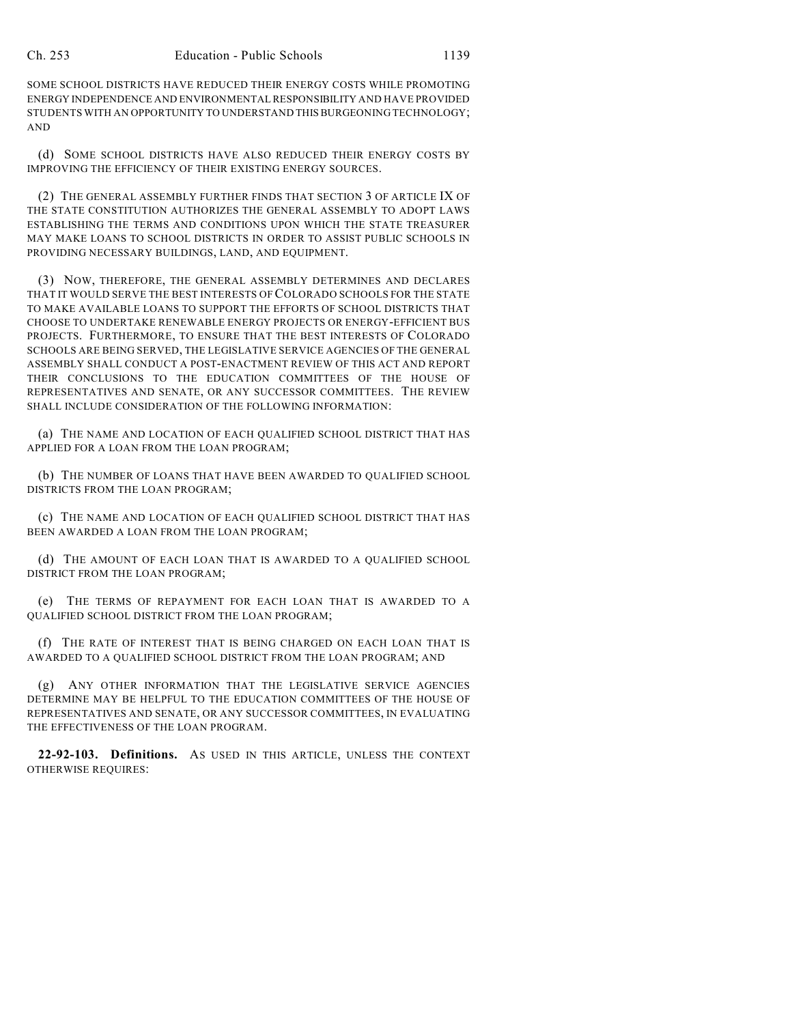SOME SCHOOL DISTRICTS HAVE REDUCED THEIR ENERGY COSTS WHILE PROMOTING ENERGY INDEPENDENCE AND ENVIRONMENTAL RESPONSIBILITY AND HAVE PROVIDED STUDENTS WITH AN OPPORTUNITY TO UNDERSTAND THIS BURGEONING TECHNOLOGY; AND

(d) SOME SCHOOL DISTRICTS HAVE ALSO REDUCED THEIR ENERGY COSTS BY IMPROVING THE EFFICIENCY OF THEIR EXISTING ENERGY SOURCES.

(2) THE GENERAL ASSEMBLY FURTHER FINDS THAT SECTION 3 OF ARTICLE IX OF THE STATE CONSTITUTION AUTHORIZES THE GENERAL ASSEMBLY TO ADOPT LAWS ESTABLISHING THE TERMS AND CONDITIONS UPON WHICH THE STATE TREASURER MAY MAKE LOANS TO SCHOOL DISTRICTS IN ORDER TO ASSIST PUBLIC SCHOOLS IN PROVIDING NECESSARY BUILDINGS, LAND, AND EQUIPMENT.

(3) NOW, THEREFORE, THE GENERAL ASSEMBLY DETERMINES AND DECLARES THAT IT WOULD SERVE THE BEST INTERESTS OF COLORADO SCHOOLS FOR THE STATE TO MAKE AVAILABLE LOANS TO SUPPORT THE EFFORTS OF SCHOOL DISTRICTS THAT CHOOSE TO UNDERTAKE RENEWABLE ENERGY PROJECTS OR ENERGY-EFFICIENT BUS PROJECTS. FURTHERMORE, TO ENSURE THAT THE BEST INTERESTS OF COLORADO SCHOOLS ARE BEING SERVED, THE LEGISLATIVE SERVICE AGENCIES OF THE GENERAL ASSEMBLY SHALL CONDUCT A POST-ENACTMENT REVIEW OF THIS ACT AND REPORT THEIR CONCLUSIONS TO THE EDUCATION COMMITTEES OF THE HOUSE OF REPRESENTATIVES AND SENATE, OR ANY SUCCESSOR COMMITTEES. THE REVIEW SHALL INCLUDE CONSIDERATION OF THE FOLLOWING INFORMATION:

(a) THE NAME AND LOCATION OF EACH QUALIFIED SCHOOL DISTRICT THAT HAS APPLIED FOR A LOAN FROM THE LOAN PROGRAM;

(b) THE NUMBER OF LOANS THAT HAVE BEEN AWARDED TO QUALIFIED SCHOOL DISTRICTS FROM THE LOAN PROGRAM;

(c) THE NAME AND LOCATION OF EACH QUALIFIED SCHOOL DISTRICT THAT HAS BEEN AWARDED A LOAN FROM THE LOAN PROGRAM;

(d) THE AMOUNT OF EACH LOAN THAT IS AWARDED TO A QUALIFIED SCHOOL DISTRICT FROM THE LOAN PROGRAM;

(e) THE TERMS OF REPAYMENT FOR EACH LOAN THAT IS AWARDED TO A QUALIFIED SCHOOL DISTRICT FROM THE LOAN PROGRAM;

(f) THE RATE OF INTEREST THAT IS BEING CHARGED ON EACH LOAN THAT IS AWARDED TO A QUALIFIED SCHOOL DISTRICT FROM THE LOAN PROGRAM; AND

(g) ANY OTHER INFORMATION THAT THE LEGISLATIVE SERVICE AGENCIES DETERMINE MAY BE HELPFUL TO THE EDUCATION COMMITTEES OF THE HOUSE OF REPRESENTATIVES AND SENATE, OR ANY SUCCESSOR COMMITTEES, IN EVALUATING THE EFFECTIVENESS OF THE LOAN PROGRAM.

**22-92-103. Definitions.** AS USED IN THIS ARTICLE, UNLESS THE CONTEXT OTHERWISE REQUIRES: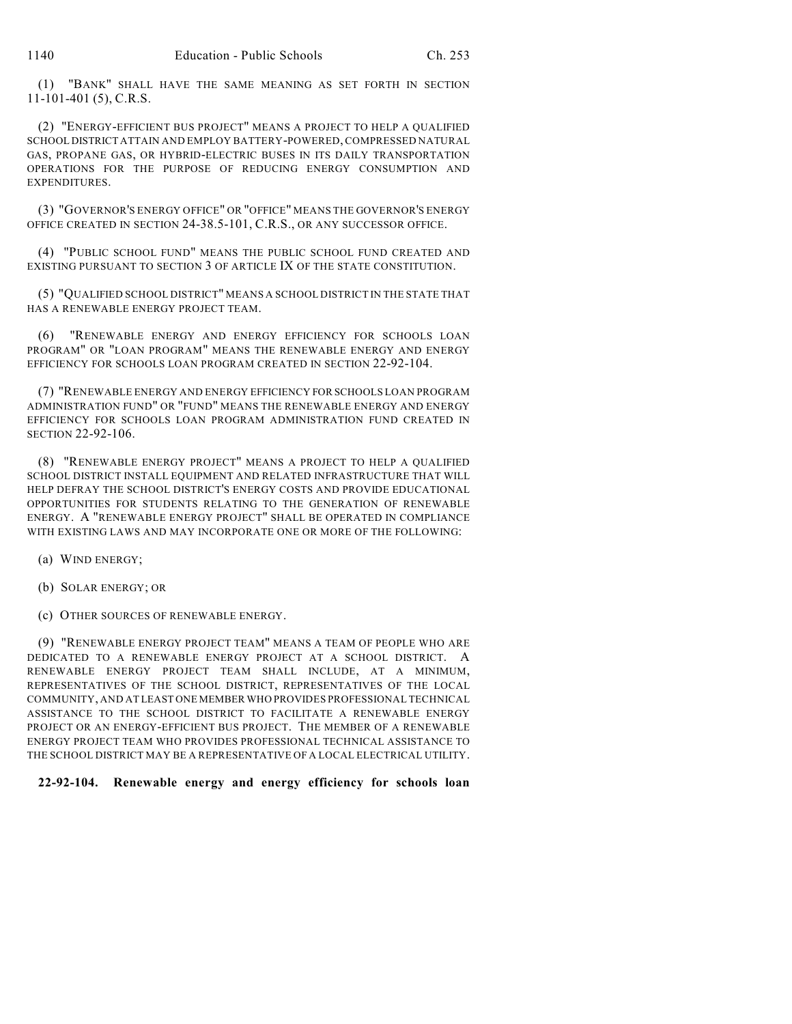(1) "BANK" SHALL HAVE THE SAME MEANING AS SET FORTH IN SECTION 11-101-401 (5), C.R.S.

(2) "ENERGY-EFFICIENT BUS PROJECT" MEANS A PROJECT TO HELP A QUALIFIED SCHOOL DISTRICT ATTAIN AND EMPLOY BATTERY-POWERED, COMPRESSED NATURAL GAS, PROPANE GAS, OR HYBRID-ELECTRIC BUSES IN ITS DAILY TRANSPORTATION OPERATIONS FOR THE PURPOSE OF REDUCING ENERGY CONSUMPTION AND **EXPENDITURES.** 

(3) "GOVERNOR'S ENERGY OFFICE" OR "OFFICE" MEANS THE GOVERNOR'S ENERGY OFFICE CREATED IN SECTION 24-38.5-101, C.R.S., OR ANY SUCCESSOR OFFICE.

(4) "PUBLIC SCHOOL FUND" MEANS THE PUBLIC SCHOOL FUND CREATED AND EXISTING PURSUANT TO SECTION 3 OF ARTICLE IX OF THE STATE CONSTITUTION.

(5) "QUALIFIED SCHOOL DISTRICT" MEANS A SCHOOL DISTRICT IN THE STATE THAT HAS A RENEWABLE ENERGY PROJECT TEAM.

(6) "RENEWABLE ENERGY AND ENERGY EFFICIENCY FOR SCHOOLS LOAN PROGRAM" OR "LOAN PROGRAM" MEANS THE RENEWABLE ENERGY AND ENERGY EFFICIENCY FOR SCHOOLS LOAN PROGRAM CREATED IN SECTION 22-92-104.

(7) "RENEWABLE ENERGY AND ENERGY EFFICIENCY FOR SCHOOLS LOAN PROGRAM ADMINISTRATION FUND" OR "FUND" MEANS THE RENEWABLE ENERGY AND ENERGY EFFICIENCY FOR SCHOOLS LOAN PROGRAM ADMINISTRATION FUND CREATED IN SECTION 22-92-106.

(8) "RENEWABLE ENERGY PROJECT" MEANS A PROJECT TO HELP A QUALIFIED SCHOOL DISTRICT INSTALL EQUIPMENT AND RELATED INFRASTRUCTURE THAT WILL HELP DEFRAY THE SCHOOL DISTRICT'S ENERGY COSTS AND PROVIDE EDUCATIONAL OPPORTUNITIES FOR STUDENTS RELATING TO THE GENERATION OF RENEWABLE ENERGY. A "RENEWABLE ENERGY PROJECT" SHALL BE OPERATED IN COMPLIANCE WITH EXISTING LAWS AND MAY INCORPORATE ONE OR MORE OF THE FOLLOWING:

(a) WIND ENERGY;

(b) SOLAR ENERGY; OR

(c) OTHER SOURCES OF RENEWABLE ENERGY.

(9) "RENEWABLE ENERGY PROJECT TEAM" MEANS A TEAM OF PEOPLE WHO ARE DEDICATED TO A RENEWABLE ENERGY PROJECT AT A SCHOOL DISTRICT. A RENEWABLE ENERGY PROJECT TEAM SHALL INCLUDE, AT A MINIMUM, REPRESENTATIVES OF THE SCHOOL DISTRICT, REPRESENTATIVES OF THE LOCAL COMMUNITY, AND AT LEAST ONE MEMBER WHO PROVIDES PROFESSIONAL TECHNICAL ASSISTANCE TO THE SCHOOL DISTRICT TO FACILITATE A RENEWABLE ENERGY PROJECT OR AN ENERGY-EFFICIENT BUS PROJECT. THE MEMBER OF A RENEWABLE ENERGY PROJECT TEAM WHO PROVIDES PROFESSIONAL TECHNICAL ASSISTANCE TO THE SCHOOL DISTRICT MAY BE A REPRESENTATIVE OF A LOCAL ELECTRICAL UTILITY.

### **22-92-104. Renewable energy and energy efficiency for schools loan**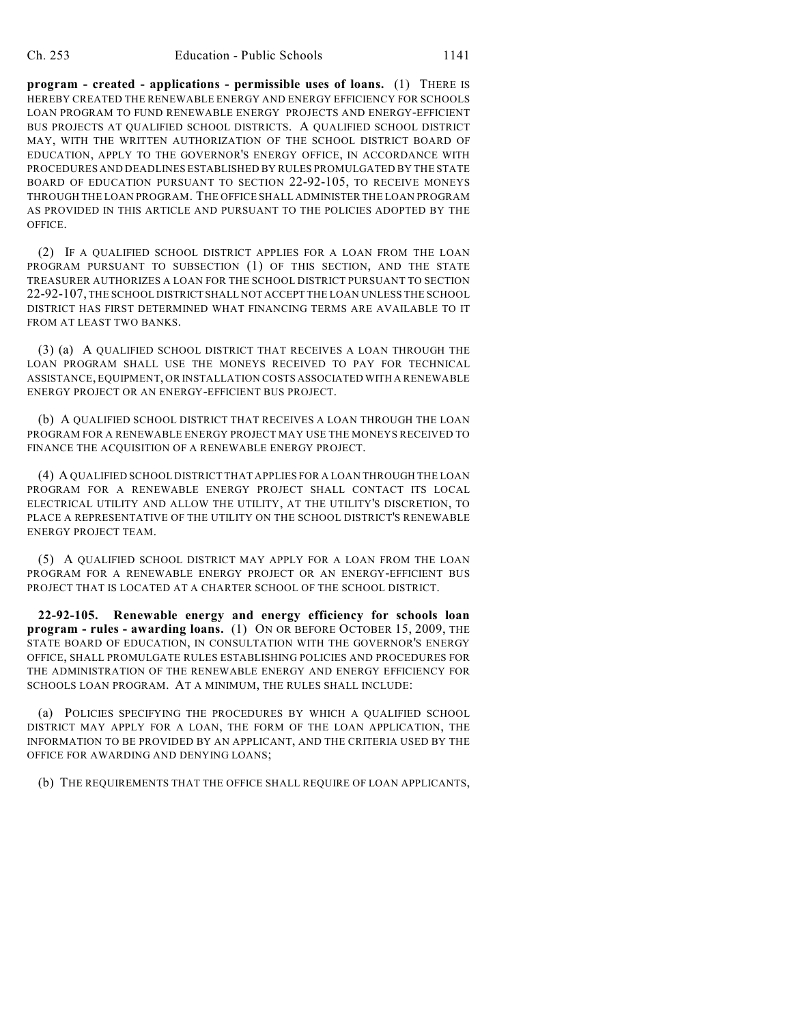**program - created - applications - permissible uses of loans.** (1) THERE IS HEREBY CREATED THE RENEWABLE ENERGY AND ENERGY EFFICIENCY FOR SCHOOLS LOAN PROGRAM TO FUND RENEWABLE ENERGY PROJECTS AND ENERGY-EFFICIENT BUS PROJECTS AT QUALIFIED SCHOOL DISTRICTS. A QUALIFIED SCHOOL DISTRICT MAY, WITH THE WRITTEN AUTHORIZATION OF THE SCHOOL DISTRICT BOARD OF EDUCATION, APPLY TO THE GOVERNOR'S ENERGY OFFICE, IN ACCORDANCE WITH PROCEDURES AND DEADLINES ESTABLISHED BY RULES PROMULGATED BY THE STATE BOARD OF EDUCATION PURSUANT TO SECTION 22-92-105, TO RECEIVE MONEYS THROUGH THE LOAN PROGRAM. THE OFFICE SHALL ADMINISTER THE LOAN PROGRAM AS PROVIDED IN THIS ARTICLE AND PURSUANT TO THE POLICIES ADOPTED BY THE OFFICE.

(2) IF A QUALIFIED SCHOOL DISTRICT APPLIES FOR A LOAN FROM THE LOAN PROGRAM PURSUANT TO SUBSECTION (1) OF THIS SECTION, AND THE STATE TREASURER AUTHORIZES A LOAN FOR THE SCHOOL DISTRICT PURSUANT TO SECTION 22-92-107, THE SCHOOL DISTRICT SHALL NOT ACCEPT THE LOAN UNLESS THE SCHOOL DISTRICT HAS FIRST DETERMINED WHAT FINANCING TERMS ARE AVAILABLE TO IT FROM AT LEAST TWO BANKS.

(3) (a) A QUALIFIED SCHOOL DISTRICT THAT RECEIVES A LOAN THROUGH THE LOAN PROGRAM SHALL USE THE MONEYS RECEIVED TO PAY FOR TECHNICAL ASSISTANCE, EQUIPMENT, OR INSTALLATION COSTS ASSOCIATED WITH A RENEWABLE ENERGY PROJECT OR AN ENERGY-EFFICIENT BUS PROJECT.

(b) A QUALIFIED SCHOOL DISTRICT THAT RECEIVES A LOAN THROUGH THE LOAN PROGRAM FOR A RENEWABLE ENERGY PROJECT MAY USE THE MONEYS RECEIVED TO FINANCE THE ACOUISITION OF A RENEWABLE ENERGY PROJECT.

(4) A QUALIFIED SCHOOL DISTRICT THAT APPLIES FOR A LOAN THROUGH THE LOAN PROGRAM FOR A RENEWABLE ENERGY PROJECT SHALL CONTACT ITS LOCAL ELECTRICAL UTILITY AND ALLOW THE UTILITY, AT THE UTILITY'S DISCRETION, TO PLACE A REPRESENTATIVE OF THE UTILITY ON THE SCHOOL DISTRICT'S RENEWABLE ENERGY PROJECT TEAM.

(5) A QUALIFIED SCHOOL DISTRICT MAY APPLY FOR A LOAN FROM THE LOAN PROGRAM FOR A RENEWABLE ENERGY PROJECT OR AN ENERGY-EFFICIENT BUS PROJECT THAT IS LOCATED AT A CHARTER SCHOOL OF THE SCHOOL DISTRICT.

**22-92-105. Renewable energy and energy efficiency for schools loan program - rules - awarding loans.** (1) ON OR BEFORE OCTOBER 15, 2009, THE STATE BOARD OF EDUCATION, IN CONSULTATION WITH THE GOVERNOR'S ENERGY OFFICE, SHALL PROMULGATE RULES ESTABLISHING POLICIES AND PROCEDURES FOR THE ADMINISTRATION OF THE RENEWABLE ENERGY AND ENERGY EFFICIENCY FOR SCHOOLS LOAN PROGRAM. AT A MINIMUM, THE RULES SHALL INCLUDE:

(a) POLICIES SPECIFYING THE PROCEDURES BY WHICH A QUALIFIED SCHOOL DISTRICT MAY APPLY FOR A LOAN, THE FORM OF THE LOAN APPLICATION, THE INFORMATION TO BE PROVIDED BY AN APPLICANT, AND THE CRITERIA USED BY THE OFFICE FOR AWARDING AND DENYING LOANS;

(b) THE REQUIREMENTS THAT THE OFFICE SHALL REQUIRE OF LOAN APPLICANTS,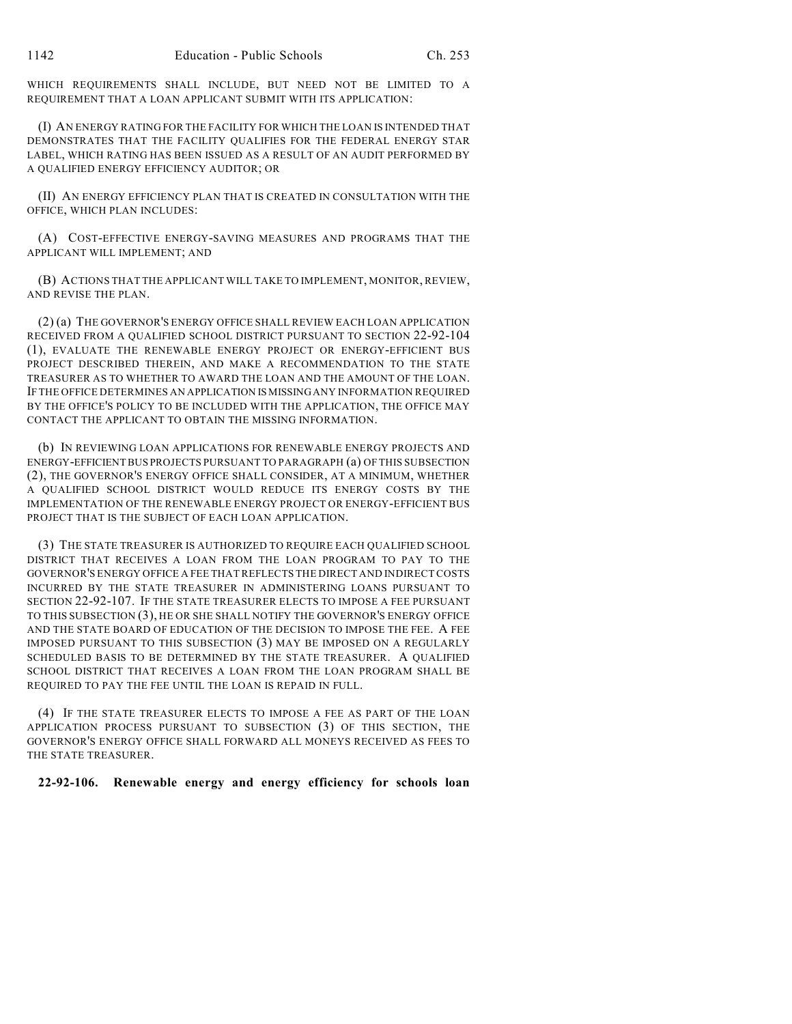WHICH REQUIREMENTS SHALL INCLUDE, BUT NEED NOT BE LIMITED TO A REQUIREMENT THAT A LOAN APPLICANT SUBMIT WITH ITS APPLICATION:

(I) AN ENERGY RATING FOR THE FACILITY FOR WHICH THE LOAN IS INTENDED THAT DEMONSTRATES THAT THE FACILITY QUALIFIES FOR THE FEDERAL ENERGY STAR LABEL, WHICH RATING HAS BEEN ISSUED AS A RESULT OF AN AUDIT PERFORMED BY A QUALIFIED ENERGY EFFICIENCY AUDITOR; OR

(II) AN ENERGY EFFICIENCY PLAN THAT IS CREATED IN CONSULTATION WITH THE OFFICE, WHICH PLAN INCLUDES:

(A) COST-EFFECTIVE ENERGY-SAVING MEASURES AND PROGRAMS THAT THE APPLICANT WILL IMPLEMENT; AND

(B) ACTIONS THAT THE APPLICANT WILL TAKE TO IMPLEMENT, MONITOR, REVIEW, AND REVISE THE PLAN.

(2) (a) THE GOVERNOR'S ENERGY OFFICE SHALL REVIEW EACH LOAN APPLICATION RECEIVED FROM A QUALIFIED SCHOOL DISTRICT PURSUANT TO SECTION 22-92-104 (1), EVALUATE THE RENEWABLE ENERGY PROJECT OR ENERGY-EFFICIENT BUS PROJECT DESCRIBED THEREIN, AND MAKE A RECOMMENDATION TO THE STATE TREASURER AS TO WHETHER TO AWARD THE LOAN AND THE AMOUNT OF THE LOAN. IF THE OFFICE DETERMINES AN APPLICATION IS MISSING ANY INFORMATION REQUIRED BY THE OFFICE'S POLICY TO BE INCLUDED WITH THE APPLICATION, THE OFFICE MAY CONTACT THE APPLICANT TO OBTAIN THE MISSING INFORMATION.

(b) IN REVIEWING LOAN APPLICATIONS FOR RENEWABLE ENERGY PROJECTS AND ENERGY-EFFICIENT BUS PROJECTS PURSUANT TO PARAGRAPH (a) OF THIS SUBSECTION (2), THE GOVERNOR'S ENERGY OFFICE SHALL CONSIDER, AT A MINIMUM, WHETHER A QUALIFIED SCHOOL DISTRICT WOULD REDUCE ITS ENERGY COSTS BY THE IMPLEMENTATION OF THE RENEWABLE ENERGY PROJECT OR ENERGY-EFFICIENT BUS PROJECT THAT IS THE SUBJECT OF EACH LOAN APPLICATION.

(3) THE STATE TREASURER IS AUTHORIZED TO REQUIRE EACH QUALIFIED SCHOOL DISTRICT THAT RECEIVES A LOAN FROM THE LOAN PROGRAM TO PAY TO THE GOVERNOR'S ENERGY OFFICE A FEE THAT REFLECTS THE DIRECT AND INDIRECT COSTS INCURRED BY THE STATE TREASURER IN ADMINISTERING LOANS PURSUANT TO SECTION 22-92-107. IF THE STATE TREASURER ELECTS TO IMPOSE A FEE PURSUANT TO THIS SUBSECTION (3), HE OR SHE SHALL NOTIFY THE GOVERNOR'S ENERGY OFFICE AND THE STATE BOARD OF EDUCATION OF THE DECISION TO IMPOSE THE FEE. A FEE IMPOSED PURSUANT TO THIS SUBSECTION (3) MAY BE IMPOSED ON A REGULARLY SCHEDULED BASIS TO BE DETERMINED BY THE STATE TREASURER. A QUALIFIED SCHOOL DISTRICT THAT RECEIVES A LOAN FROM THE LOAN PROGRAM SHALL BE REQUIRED TO PAY THE FEE UNTIL THE LOAN IS REPAID IN FULL.

(4) IF THE STATE TREASURER ELECTS TO IMPOSE A FEE AS PART OF THE LOAN APPLICATION PROCESS PURSUANT TO SUBSECTION (3) OF THIS SECTION, THE GOVERNOR'S ENERGY OFFICE SHALL FORWARD ALL MONEYS RECEIVED AS FEES TO THE STATE TREASURER.

#### **22-92-106. Renewable energy and energy efficiency for schools loan**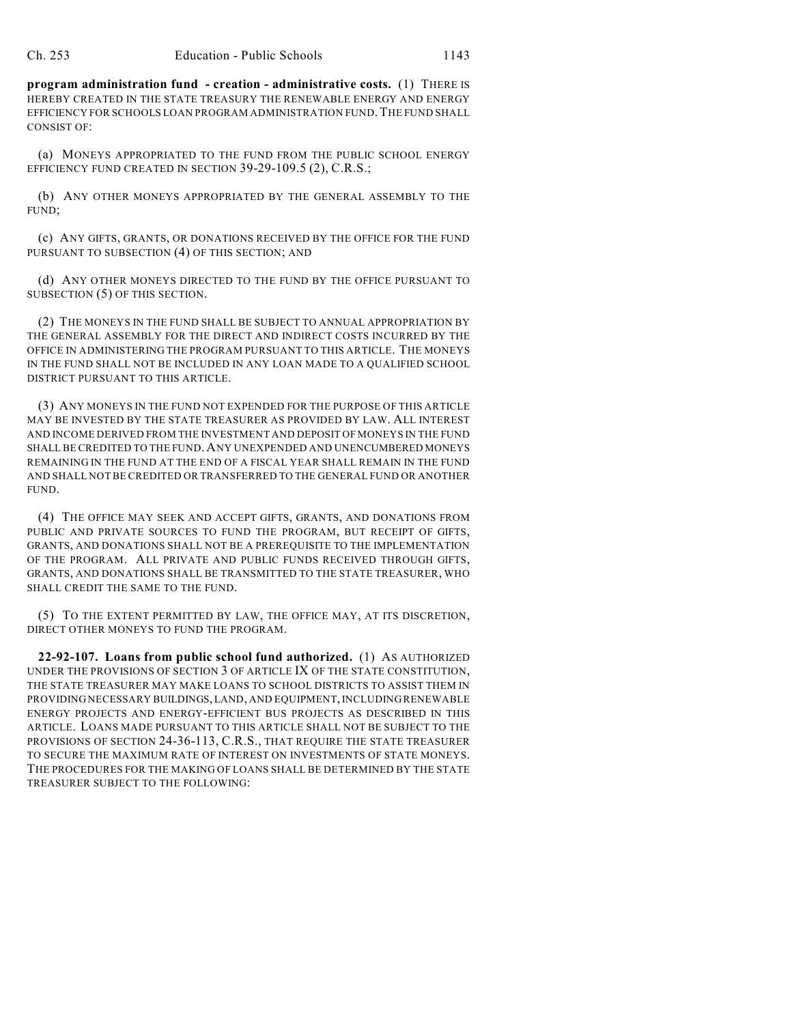**program administration fund - creation - administrative costs.** (1) THERE IS HEREBY CREATED IN THE STATE TREASURY THE RENEWABLE ENERGY AND ENERGY EFFICIENCY FOR SCHOOLS LOAN PROGRAM ADMINISTRATION FUND.THE FUND SHALL CONSIST OF:

(a) MONEYS APPROPRIATED TO THE FUND FROM THE PUBLIC SCHOOL ENERGY EFFICIENCY FUND CREATED IN SECTION 39-29-109.5 (2), C.R.S.;

(b) ANY OTHER MONEYS APPROPRIATED BY THE GENERAL ASSEMBLY TO THE FUND;

(c) ANY GIFTS, GRANTS, OR DONATIONS RECEIVED BY THE OFFICE FOR THE FUND PURSUANT TO SUBSECTION (4) OF THIS SECTION; AND

(d) ANY OTHER MONEYS DIRECTED TO THE FUND BY THE OFFICE PURSUANT TO SUBSECTION (5) OF THIS SECTION.

(2) THE MONEYS IN THE FUND SHALL BE SUBJECT TO ANNUAL APPROPRIATION BY THE GENERAL ASSEMBLY FOR THE DIRECT AND INDIRECT COSTS INCURRED BY THE OFFICE IN ADMINISTERING THE PROGRAM PURSUANT TO THIS ARTICLE. THE MONEYS IN THE FUND SHALL NOT BE INCLUDED IN ANY LOAN MADE TO A QUALIFIED SCHOOL DISTRICT PURSUANT TO THIS ARTICLE.

(3) ANY MONEYS IN THE FUND NOT EXPENDED FOR THE PURPOSE OF THIS ARTICLE MAY BE INVESTED BY THE STATE TREASURER AS PROVIDED BY LAW. ALL INTEREST AND INCOME DERIVED FROM THE INVESTMENT AND DEPOSIT OF MONEYS IN THE FUND SHALL BE CREDITED TO THE FUND.ANY UNEXPENDED AND UNENCUMBERED MONEYS REMAINING IN THE FUND AT THE END OF A FISCAL YEAR SHALL REMAIN IN THE FUND AND SHALL NOT BE CREDITED OR TRANSFERRED TO THE GENERAL FUND OR ANOTHER FUND.

(4) THE OFFICE MAY SEEK AND ACCEPT GIFTS, GRANTS, AND DONATIONS FROM PUBLIC AND PRIVATE SOURCES TO FUND THE PROGRAM, BUT RECEIPT OF GIFTS, GRANTS, AND DONATIONS SHALL NOT BE A PREREQUISITE TO THE IMPLEMENTATION OF THE PROGRAM. ALL PRIVATE AND PUBLIC FUNDS RECEIVED THROUGH GIFTS, GRANTS, AND DONATIONS SHALL BE TRANSMITTED TO THE STATE TREASURER, WHO SHALL CREDIT THE SAME TO THE FUND.

(5) TO THE EXTENT PERMITTED BY LAW, THE OFFICE MAY, AT ITS DISCRETION, DIRECT OTHER MONEYS TO FUND THE PROGRAM.

**22-92-107. Loans from public school fund authorized.** (1) AS AUTHORIZED UNDER THE PROVISIONS OF SECTION 3 OF ARTICLE IX OF THE STATE CONSTITUTION, THE STATE TREASURER MAY MAKE LOANS TO SCHOOL DISTRICTS TO ASSIST THEM IN PROVIDING NECESSARY BUILDINGS, LAND, AND EQUIPMENT, INCLUDING RENEWABLE ENERGY PROJECTS AND ENERGY-EFFICIENT BUS PROJECTS AS DESCRIBED IN THIS ARTICLE. LOANS MADE PURSUANT TO THIS ARTICLE SHALL NOT BE SUBJECT TO THE PROVISIONS OF SECTION 24-36-113, C.R.S., THAT REQUIRE THE STATE TREASURER TO SECURE THE MAXIMUM RATE OF INTEREST ON INVESTMENTS OF STATE MONEYS. THE PROCEDURES FOR THE MAKING OF LOANS SHALL BE DETERMINED BY THE STATE TREASURER SUBJECT TO THE FOLLOWING: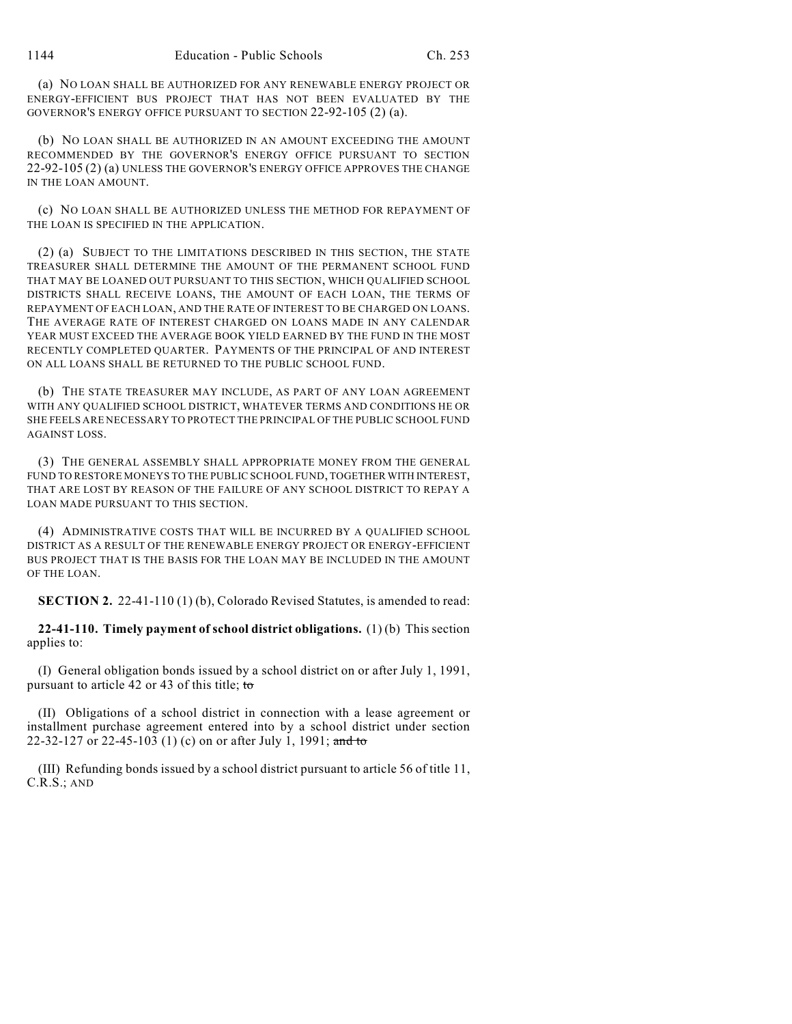(a) NO LOAN SHALL BE AUTHORIZED FOR ANY RENEWABLE ENERGY PROJECT OR ENERGY-EFFICIENT BUS PROJECT THAT HAS NOT BEEN EVALUATED BY THE GOVERNOR'S ENERGY OFFICE PURSUANT TO SECTION 22-92-105 (2) (a).

(b) NO LOAN SHALL BE AUTHORIZED IN AN AMOUNT EXCEEDING THE AMOUNT RECOMMENDED BY THE GOVERNOR'S ENERGY OFFICE PURSUANT TO SECTION 22-92-105 (2) (a) UNLESS THE GOVERNOR'S ENERGY OFFICE APPROVES THE CHANGE IN THE LOAN AMOUNT.

(c) NO LOAN SHALL BE AUTHORIZED UNLESS THE METHOD FOR REPAYMENT OF THE LOAN IS SPECIFIED IN THE APPLICATION.

(2) (a) SUBJECT TO THE LIMITATIONS DESCRIBED IN THIS SECTION, THE STATE TREASURER SHALL DETERMINE THE AMOUNT OF THE PERMANENT SCHOOL FUND THAT MAY BE LOANED OUT PURSUANT TO THIS SECTION, WHICH QUALIFIED SCHOOL DISTRICTS SHALL RECEIVE LOANS, THE AMOUNT OF EACH LOAN, THE TERMS OF REPAYMENT OF EACH LOAN, AND THE RATE OF INTEREST TO BE CHARGED ON LOANS. THE AVERAGE RATE OF INTEREST CHARGED ON LOANS MADE IN ANY CALENDAR YEAR MUST EXCEED THE AVERAGE BOOK YIELD EARNED BY THE FUND IN THE MOST RECENTLY COMPLETED QUARTER. PAYMENTS OF THE PRINCIPAL OF AND INTEREST ON ALL LOANS SHALL BE RETURNED TO THE PUBLIC SCHOOL FUND.

(b) THE STATE TREASURER MAY INCLUDE, AS PART OF ANY LOAN AGREEMENT WITH ANY QUALIFIED SCHOOL DISTRICT, WHATEVER TERMS AND CONDITIONS HE OR SHE FEELS ARE NECESSARY TO PROTECT THE PRINCIPAL OF THE PUBLIC SCHOOL FUND AGAINST LOSS.

(3) THE GENERAL ASSEMBLY SHALL APPROPRIATE MONEY FROM THE GENERAL FUND TO RESTORE MONEYS TO THE PUBLIC SCHOOL FUND, TOGETHER WITH INTEREST, THAT ARE LOST BY REASON OF THE FAILURE OF ANY SCHOOL DISTRICT TO REPAY A LOAN MADE PURSUANT TO THIS SECTION.

(4) ADMINISTRATIVE COSTS THAT WILL BE INCURRED BY A QUALIFIED SCHOOL DISTRICT AS A RESULT OF THE RENEWABLE ENERGY PROJECT OR ENERGY-EFFICIENT BUS PROJECT THAT IS THE BASIS FOR THE LOAN MAY BE INCLUDED IN THE AMOUNT OF THE LOAN.

**SECTION 2.** 22-41-110 (1) (b), Colorado Revised Statutes, is amended to read:

**22-41-110. Timely payment of school district obligations.** (1) (b) This section applies to:

(I) General obligation bonds issued by a school district on or after July 1, 1991, pursuant to article 42 or 43 of this title; to

(II) Obligations of a school district in connection with a lease agreement or installment purchase agreement entered into by a school district under section 22-32-127 or 22-45-103 (1) (c) on or after July 1, 1991; and to

(III) Refunding bonds issued by a school district pursuant to article 56 of title 11, C.R.S.; AND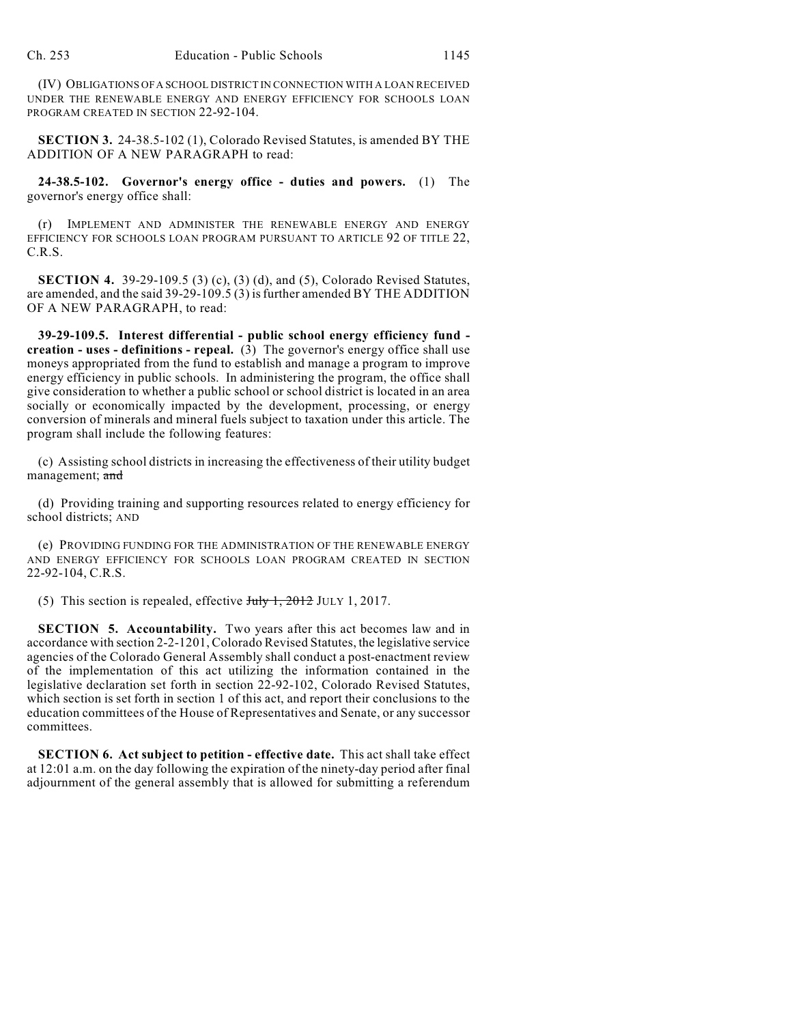(IV) OBLIGATIONS OF A SCHOOL DISTRICT IN CONNECTION WITH A LOAN RECEIVED UNDER THE RENEWABLE ENERGY AND ENERGY EFFICIENCY FOR SCHOOLS LOAN PROGRAM CREATED IN SECTION 22-92-104.

**SECTION 3.** 24-38.5-102 (1), Colorado Revised Statutes, is amended BY THE ADDITION OF A NEW PARAGRAPH to read:

**24-38.5-102. Governor's energy office - duties and powers.** (1) The governor's energy office shall:

(r) IMPLEMENT AND ADMINISTER THE RENEWABLE ENERGY AND ENERGY EFFICIENCY FOR SCHOOLS LOAN PROGRAM PURSUANT TO ARTICLE 92 OF TITLE 22, C.R.S.

**SECTION 4.** 39-29-109.5 (3) (c), (3) (d), and (5), Colorado Revised Statutes, are amended, and the said 39-29-109.5 (3) isfurther amended BY THE ADDITION OF A NEW PARAGRAPH, to read:

**39-29-109.5. Interest differential - public school energy efficiency fund creation - uses - definitions - repeal.**  $(3)$  The governor's energy office shall use moneys appropriated from the fund to establish and manage a program to improve energy efficiency in public schools. In administering the program, the office shall give consideration to whether a public school or school district is located in an area socially or economically impacted by the development, processing, or energy conversion of minerals and mineral fuels subject to taxation under this article. The program shall include the following features:

(c) Assisting school districts in increasing the effectiveness of their utility budget management; and

(d) Providing training and supporting resources related to energy efficiency for school districts; AND

(e) PROVIDING FUNDING FOR THE ADMINISTRATION OF THE RENEWABLE ENERGY AND ENERGY EFFICIENCY FOR SCHOOLS LOAN PROGRAM CREATED IN SECTION 22-92-104, C.R.S.

(5) This section is repealed, effective  $J_{\text{uly}}$  1, 2012 JULY 1, 2017.

**SECTION 5. Accountability.** Two years after this act becomes law and in accordance with section 2-2-1201, Colorado Revised Statutes, the legislative service agencies of the Colorado General Assembly shall conduct a post-enactment review of the implementation of this act utilizing the information contained in the legislative declaration set forth in section 22-92-102, Colorado Revised Statutes, which section is set forth in section 1 of this act, and report their conclusions to the education committees of the House of Representatives and Senate, or any successor committees.

**SECTION 6. Act subject to petition - effective date.** This act shall take effect at 12:01 a.m. on the day following the expiration of the ninety-day period after final adjournment of the general assembly that is allowed for submitting a referendum